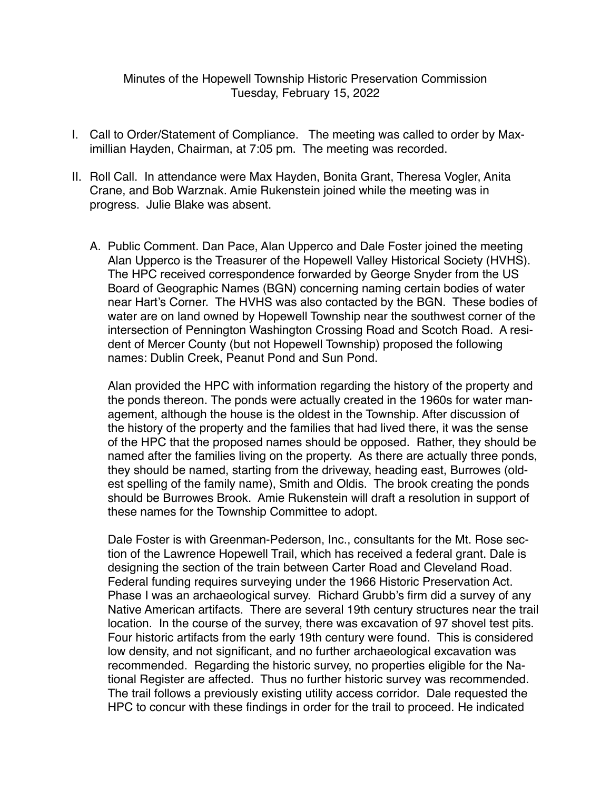## Minutes of the Hopewell Township Historic Preservation Commission Tuesday, February 15, 2022

- I. Call to Order/Statement of Compliance. The meeting was called to order by Maximillian Hayden, Chairman, at 7:05 pm. The meeting was recorded.
- II. Roll Call. In attendance were Max Hayden, Bonita Grant, Theresa Vogler, Anita Crane, and Bob Warznak. Amie Rukenstein joined while the meeting was in progress. Julie Blake was absent.
	- A. Public Comment. Dan Pace, Alan Upperco and Dale Foster joined the meeting Alan Upperco is the Treasurer of the Hopewell Valley Historical Society (HVHS). The HPC received correspondence forwarded by George Snyder from the US Board of Geographic Names (BGN) concerning naming certain bodies of water near Hart's Corner. The HVHS was also contacted by the BGN. These bodies of water are on land owned by Hopewell Township near the southwest corner of the intersection of Pennington Washington Crossing Road and Scotch Road. A resident of Mercer County (but not Hopewell Township) proposed the following names: Dublin Creek, Peanut Pond and Sun Pond.

Alan provided the HPC with information regarding the history of the property and the ponds thereon. The ponds were actually created in the 1960s for water management, although the house is the oldest in the Township. After discussion of the history of the property and the families that had lived there, it was the sense of the HPC that the proposed names should be opposed. Rather, they should be named after the families living on the property. As there are actually three ponds, they should be named, starting from the driveway, heading east, Burrowes (oldest spelling of the family name), Smith and Oldis. The brook creating the ponds should be Burrowes Brook. Amie Rukenstein will draft a resolution in support of these names for the Township Committee to adopt.

Dale Foster is with Greenman-Pederson, Inc., consultants for the Mt. Rose section of the Lawrence Hopewell Trail, which has received a federal grant. Dale is designing the section of the train between Carter Road and Cleveland Road. Federal funding requires surveying under the 1966 Historic Preservation Act. Phase I was an archaeological survey. Richard Grubb's firm did a survey of any Native American artifacts. There are several 19th century structures near the trail location. In the course of the survey, there was excavation of 97 shovel test pits. Four historic artifacts from the early 19th century were found. This is considered low density, and not significant, and no further archaeological excavation was recommended. Regarding the historic survey, no properties eligible for the National Register are affected. Thus no further historic survey was recommended. The trail follows a previously existing utility access corridor. Dale requested the HPC to concur with these findings in order for the trail to proceed. He indicated